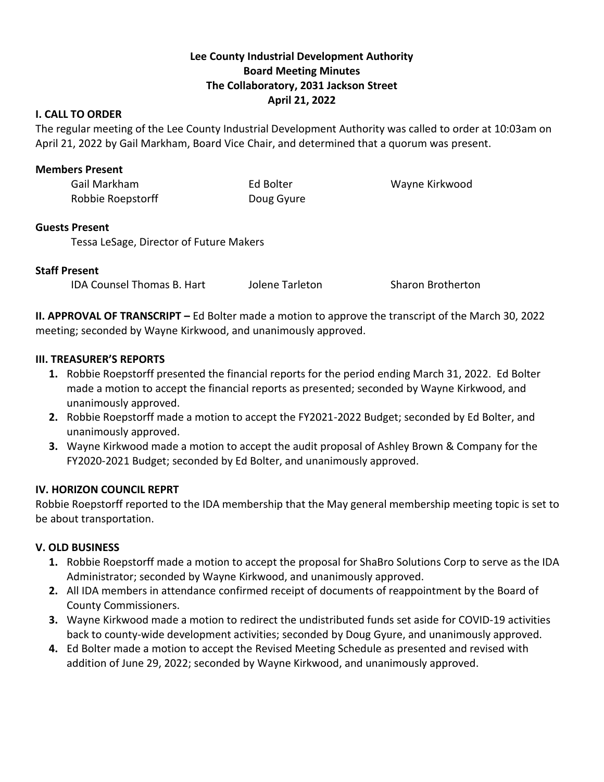# **Lee County Industrial Development Authority Board Meeting Minutes The Collaboratory, 2031 Jackson Street April 21, 2022**

## **I. CALL TO ORDER**

The regular meeting of the Lee County Industrial Development Authority was called to order at 10:03am on April 21, 2022 by Gail Markham, Board Vice Chair, and determined that a quorum was present.

## **Members Present**

| Gail Markham      | Ed Bolter  | Wayne Kirkwood |
|-------------------|------------|----------------|
| Robbie Roepstorff | Doug Gyure |                |

## **Guests Present**

Tessa LeSage, Director of Future Makers

## **Staff Present**

IDA Counsel Thomas B. Hart Jolene Tarleton Sharon Brotherton

**II. APPROVAL OF TRANSCRIPT –** Ed Bolter made a motion to approve the transcript of the March 30, 2022 meeting; seconded by Wayne Kirkwood, and unanimously approved.

## **III. TREASURER'S REPORTS**

- **1.** Robbie Roepstorff presented the financial reports for the period ending March 31, 2022. Ed Bolter made a motion to accept the financial reports as presented; seconded by Wayne Kirkwood, and unanimously approved.
- **2.** Robbie Roepstorff made a motion to accept the FY2021-2022 Budget; seconded by Ed Bolter, and unanimously approved.
- **3.** Wayne Kirkwood made a motion to accept the audit proposal of Ashley Brown & Company for the FY2020-2021 Budget; seconded by Ed Bolter, and unanimously approved.

## **IV. HORIZON COUNCIL REPRT**

Robbie Roepstorff reported to the IDA membership that the May general membership meeting topic is set to be about transportation.

## **V. OLD BUSINESS**

- **1.** Robbie Roepstorff made a motion to accept the proposal for ShaBro Solutions Corp to serve as the IDA Administrator; seconded by Wayne Kirkwood, and unanimously approved.
- **2.** All IDA members in attendance confirmed receipt of documents of reappointment by the Board of County Commissioners.
- **3.** Wayne Kirkwood made a motion to redirect the undistributed funds set aside for COVID-19 activities back to county-wide development activities; seconded by Doug Gyure, and unanimously approved.
- **4.** Ed Bolter made a motion to accept the Revised Meeting Schedule as presented and revised with addition of June 29, 2022; seconded by Wayne Kirkwood, and unanimously approved.